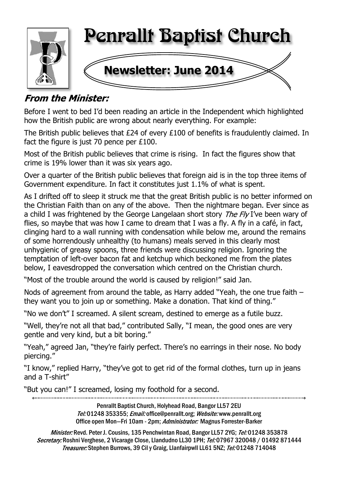

## **From the Minister:**

Before I went to bed I'd been reading an article in the Independent which highlighted how the British public are wrong about nearly everything. For example:

The British public believes that £24 of every £100 of benefits is fraudulently claimed. In fact the figure is just 70 pence per £100.

Most of the British public believes that crime is rising. In fact the figures show that crime is 19% lower than it was six years ago.

Over a quarter of the British public believes that foreign aid is in the top three items of Government expenditure. In fact it constitutes just 1.1% of what is spent.

As I drifted off to sleep it struck me that the great British public is no better informed on the Christian Faith than on any of the above. Then the nightmare began. Ever since as a child I was frightened by the George Langelaan short story The Fly I've been wary of flies, so maybe that was how I came to dream that I was a fly. A fly in a café, in fact, clinging hard to a wall running with condensation while below me, around the remains of some horrendously unhealthy (to humans) meals served in this clearly most unhygienic of greasy spoons, three friends were discussing religion. Ignoring the temptation of left-over bacon fat and ketchup which beckoned me from the plates below, I eavesdropped the conversation which centred on the Christian church.

"Most of the trouble around the world is caused by religion!" said Jan.

Nods of agreement from around the table, as Harry added "Yeah, the one true faith – they want you to join up or something. Make a donation. That kind of thing."

"No we don't" I screamed. A silent scream, destined to emerge as a futile buzz.

"Well, they're not all that bad," contributed Sally, "I mean, the good ones are very gentle and very kind, but a bit boring."

"Yeah," agreed Jan, "they're fairly perfect. There's no earrings in their nose. No body piercing."

"I know," replied Harry, "they've got to get rid of the formal clothes, turn up in jeans and a T-shirt"

"But you can!" I screamed, losing my foothold for a second.

Penrallt Baptist Church, Holyhead Road, Bangor LL57 2EU Tel:01248 353355; Email: office@penrallt.org; Website: www.penrallt.org Office open Mon-Fri 10am - 2pm; Administrator: Magnus Forrester-Barker

Minister: Revd. Peter J. Cousins, 135 Penchwintan Road, Bangor LL57 2YG; Tel: 01248 353878 Secretary: Roshni Verghese, 2 Vicarage Close, Llandudno LL30 1PH; Tel: 07967 320048 / 01492 871444 Treasurer: Stephen Burrows, 39 Cil y Graig, Llanfairpwll LL61 5NZ; Tel: 01248 714048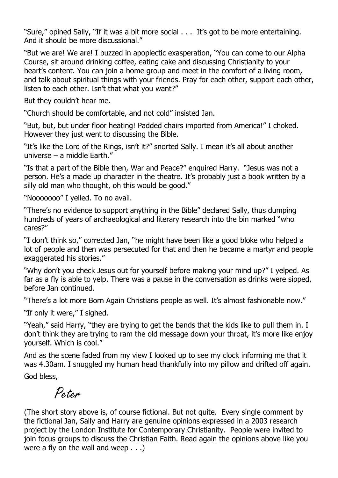"Sure," opined Sally, "If it was a bit more social . . . It's got to be more entertaining. And it should be more discussional."

"But we are! We are! I buzzed in apoplectic exasperation, "You can come to our Alpha Course, sit around drinking coffee, eating cake and discussing Christianity to your heart's content. You can join a home group and meet in the comfort of a living room, and talk about spiritual things with your friends. Pray for each other, support each other, listen to each other. Isn't that what you want?"

But they couldn't hear me.

"Church should be comfortable, and not cold" insisted Jan.

"But, but, but under floor heating! Padded chairs imported from America!" I choked. However they just went to discussing the Bible.

"It's like the Lord of the Rings, isn't it?" snorted Sally. I mean it's all about another universe – a middle Earth."

"Is that a part of the Bible then, War and Peace?" enquired Harry. "Jesus was not a person. He's a made up character in the theatre. It's probably just a book written by a silly old man who thought, oh this would be good."

"Nooooooo" I yelled. To no avail.

"There's no evidence to support anything in the Bible" declared Sally, thus dumping hundreds of years of archaeological and literary research into the bin marked "who cares?"

"I don't think so," corrected Jan, "he might have been like a good bloke who helped a lot of people and then was persecuted for that and then he became a martyr and people exaggerated his stories."

"Why don't you check Jesus out for yourself before making your mind up?" I yelped. As far as a fly is able to yelp. There was a pause in the conversation as drinks were sipped, before Jan continued.

"There's a lot more Born Again Christians people as well. It's almost fashionable now."

"If only it were," I sighed.

"Yeah," said Harry, "they are trying to get the bands that the kids like to pull them in. I don't think they are trying to ram the old message down your throat, it's more like enjoy yourself. Which is cool."

And as the scene faded from my view I looked up to see my clock informing me that it was 4.30am. I snuggled my human head thankfully into my pillow and drifted off again.

God bless,

Po.t.o.u

(The short story above is, of course fictional. But not quite. Every single comment by the fictional Jan, Sally and Harry are genuine opinions expressed in a 2003 research project by the London Institute for Contemporary Christianity. People were invited to join focus groups to discuss the Christian Faith. Read again the opinions above like you were a fly on the wall and weep . . .)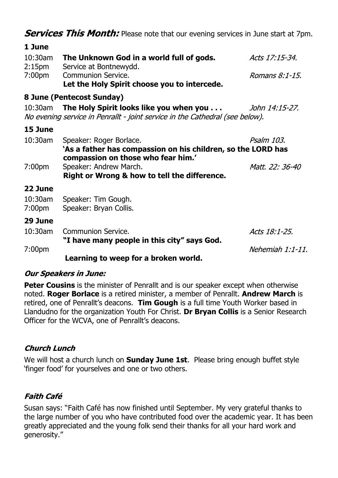**Services This Month:** Please note that our evening services in June start at 7pm.

| 1 June                           |                                                                                                                               |                 |
|----------------------------------|-------------------------------------------------------------------------------------------------------------------------------|-----------------|
| $10:30$ am<br>2:15 <sub>pm</sub> | The Unknown God in a world full of gods.<br>Service at Bontnewydd.                                                            | Acts 17:15-34.  |
| 7:00 <sub>pm</sub>               | Communion Service.<br>Let the Holy Spirit choose you to intercede.                                                            | Romans 8:1-15.  |
|                                  | 8 June (Pentecost Sunday)                                                                                                     |                 |
| $10:30$ am                       | The Holy Spirit looks like you when you<br>No evening service in Penrallt - joint service in the Cathedral (see below).       | John 14:15-27.  |
| 15 June                          |                                                                                                                               |                 |
| 10:30am                          | Speaker: Roger Borlace.<br>'As a father has compassion on his children, so the LORD has<br>compassion on those who fear him.' | Psalm 103.      |
| 7:00 <sub>pm</sub>               | Speaker: Andrew March.<br>Right or Wrong & how to tell the difference.                                                        | Matt. 22: 36-40 |
| 22 June                          |                                                                                                                               |                 |
| $10:30$ am<br>7:00 <sub>pm</sub> | Speaker: Tim Gough.<br>Speaker: Bryan Collis.                                                                                 |                 |
| 29 June                          |                                                                                                                               |                 |
| 10:30am                          | Communion Service.<br>"I have many people in this city" says God.                                                             | Acts 18:1-25.   |
| 7:00 <sub>pm</sub>               |                                                                                                                               | Nehemiah 1:1-11 |
|                                  | Learning to weep for a broken world.                                                                                          |                 |

#### **Our Speakers in June:**

**Peter Cousins** is the minister of Penrallt and is our speaker except when otherwise noted. **Roger Borlace** is a retired minister, a member of Penrallt. **Andrew March** is retired, one of Penrallt's deacons. **Tim Gough** is a full time Youth Worker based in Llandudno for the organization Youth For Christ. **Dr Bryan Collis** is a Senior Research Officer for the WCVA, one of Penrallt's deacons.

#### **Church Lunch**

We will host a church lunch on **Sunday June 1st**. Please bring enough buffet style 'finger food' for yourselves and one or two others.

#### **Faith Café**

Susan says: "Faith Café has now finished until September. My very grateful thanks to the large number of you who have contributed food over the academic year. It has been greatly appreciated and the young folk send their thanks for all your hard work and generosity."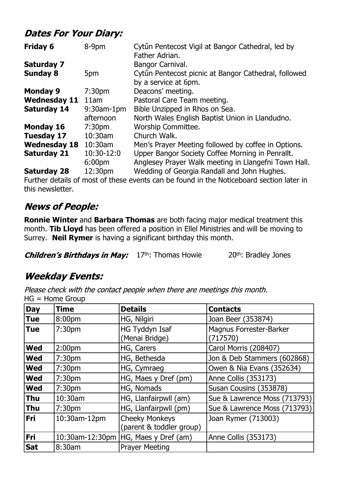## **Dates For Your Diary:**

| <b>Friday 6</b>     | 8-9pm              | Cytûn Pentecost Vigil at Bangor Cathedral, led by    |
|---------------------|--------------------|------------------------------------------------------|
|                     |                    | Father Adrian.                                       |
| <b>Saturday 7</b>   |                    | Bangor Carnival.                                     |
| <b>Sunday 8</b>     | 5pm                | Cytûn Pentecost picnic at Bangor Cathedral, followed |
|                     |                    | by a service at 6pm.                                 |
| <b>Monday 9</b>     | 7:30 <sub>pm</sub> | Deacons' meeting.                                    |
| <b>Wednesday 11</b> | 11am               | Pastoral Care Team meeting.                          |
| <b>Saturday 14</b>  | $9:30$ am-1pm      | Bible Unzipped in Rhos on Sea.                       |
|                     | afternoon          | North Wales English Baptist Union in Llandudno.      |
| <b>Monday 16</b>    | 7:30 <sub>pm</sub> | Worship Committee.                                   |
| <b>Tuesday 17</b>   | $10:30$ am         | Church Walk.                                         |
| <b>Wednesday 18</b> | $10:30$ am         | Men's Prayer Meeting followed by coffee in Options.  |
| <b>Saturday 21</b>  | 10:30-12:0         | Upper Bangor Society Coffee Morning in Penrallt.     |
|                     | 6:00 <sub>pm</sub> | Anglesey Prayer Walk meeting in Llangefni Town Hall. |
| <b>Saturday 28</b>  | 12:30pm            | Wedding of Georgia Randall and John Hughes.          |

Further details of most of these events can be found in the Noticeboard section later in this newsletter.

## **News of People:**

**Ronnie Winter** and **Barbara Thomas** are both facing major medical treatment this month. **Tib Lloyd** has been offered a position in Ellel Ministries and will be moving to Surrey. **Neil Rymer** is having a significant birthday this month.

**Children's Birthdays in May:**  $17th$ : Thomas Howie 20<sup>th</sup>: Bradley Jones

## **Weekday Events:**

Please check with the contact people when there are meetings this month. HG = Home Group

| <b>Day</b> | <b>Time</b>        | <b>Details</b>                                    | <b>Contacts</b>                            |
|------------|--------------------|---------------------------------------------------|--------------------------------------------|
| <b>Tue</b> | 8:00pm             | HG, Nilgiri                                       | Joan Beer (353874)                         |
| <b>Tue</b> | 7:30 <sub>pm</sub> | HG Tyddyn Isaf<br>(Menai Bridge)                  | <b>Magnus Forrester-Barker</b><br>(717570) |
| <b>Wed</b> | 2:00 <sub>pm</sub> | HG, Carers                                        | Carol Morris (208407)                      |
| <b>Wed</b> | 7:30 <sub>pm</sub> | HG, Bethesda                                      | Jon & Deb Stammers (602868)                |
| <b>Wed</b> | 7:30pm             | HG, Cymraeg                                       | Owen & Nia Evans (352634)                  |
| <b>Wed</b> | 7:30 <sub>pm</sub> | HG, Maes y Dref (pm)                              | Anne Collis (353173)                       |
| <b>Wed</b> | 7:30 <sub>pm</sub> | HG, Nomads                                        | Susan Cousins (353878)                     |
| <b>Thu</b> | 10:30am            | HG, Llanfairpwll (am)                             | Sue & Lawrence Moss (713793)               |
| <b>Thu</b> | 7:30 <sub>pm</sub> | HG, Llanfairpwll (pm)                             | Sue & Lawrence Moss (713793)               |
| <b>Fri</b> | 10:30am-12pm       | <b>Cheeky Monkeys</b><br>(parent & toddler group) | Joan Rymer (713003)                        |
| Fri        | 10:30am-12:30pm    | HG, Maes y Dref (am)                              | Anne Collis (353173)                       |
| <b>Sat</b> | 8:30am             | <b>Prayer Meeting</b>                             |                                            |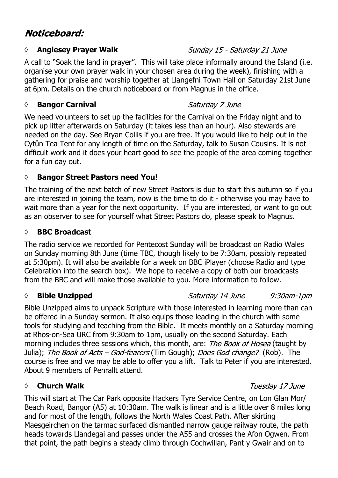## Noticeboard:

#### **◊ Anglesey Prayer Walk**

A call to "Soak the land in prayer". This will take place informally around the Island (i.e. organise your own prayer walk in your chosen area during the week), finishing with a gathering for praise and worship together at Llangefni Town Hall on Saturday 21st June at 6pm. Details on the church noticeboard or from Magnus in the office.

#### *◊* **Bangor Carnival**

#### Saturday 7 June

We need volunteers to set up the facilities for the Carnival on the Friday night and to pick up litter afterwards on Saturday (it takes less than an hour). Also stewards are needed on the day. See Bryan Collis if you are free. If you would like to help out in the Cytûn Tea Tent for any length of time on the Saturday, talk to Susan Cousins. It is not difficult work and it does your heart good to see the people of the area coming together for a fun day out.

#### **◊ Bangor Street Pastors need You!**

The training of the next batch of new Street Pastors is due to start this autumn so if you are interested in joining the team, now is the time to do it - otherwise you may have to wait more than a year for the next opportunity. If you are interested, or want to go out as an observer to see for yourself what Street Pastors do, please speak to Magnus.

#### **◊ BBC Broadcast**

The radio service we recorded for Pentecost Sunday will be broadcast on Radio Wales on Sunday morning 8th June (time TBC, though likely to be 7:30am, possibly repeated at 5:30pm). It will also be available for a week on BBC iPlayer (choose Radio and type Celebration into the search box). We hope to receive a copy of both our broadcasts from the BBC and will make those available to you. More information to follow.

#### **◊ Bible Unzipped**

#### Saturday 14 June  $9:30$ am-1 $pm$

Bible Unzipped aims to unpack Scripture with those interested in learning more than can be offered in a Sunday sermon. It also equips those leading in the church with some tools for studying and teaching from the Bible. It meets monthly on a Saturday morning at Rhos-on-Sea URC from 9:30am to 1pm, usually on the second Saturday. Each morning includes three sessions which, this month, are: The Book of Hosea (taught by Julia); The Book of Acts – God-fearers (Tim Gough); Does God change? (Rob). The course is free and we may be able to offer you a lift. Talk to Peter if you are interested. About 9 members of Penrallt attend.

#### *◊* **Church Walk**

This will start at The Car Park opposite Hackers Tyre Service Centre, on Lon Glan Mor/ Beach Road, Bangor (A5) at 10:30am. The walk is linear and is a little over 8 miles long and for most of the length, follows the North Wales Coast Path. After skirting Maesgeirchen on the tarmac surfaced dismantled narrow gauge railway route, the path heads towards Llandegai and passes under the A55 and crosses the Afon Ogwen. From that point, the path begins a steady climb through Cochwillan, Pant y Gwair and on to

#### Tuesday 17 June

#### Sunday 15 - Saturday 21 June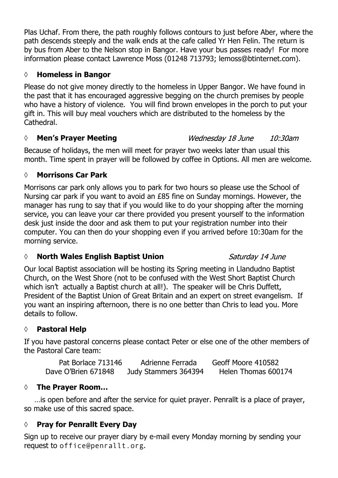Plas Uchaf. From there, the path roughly follows contours to just before Aber, where the path descends steeply and the walk ends at the cafe called Yr Hen Felin. The return is by bus from Aber to the Nelson stop in Bangor. Have your bus passes ready! For more information please contact Lawrence Moss (01248 713793; lemoss@btinternet.com).

#### **◊ Homeless in Bangor**

Please do not give money directly to the homeless in Upper Bangor. We have found in the past that it has encouraged aggressive begging on the church premises by people who have a history of violence. You will find brown envelopes in the porch to put your gift in. This will buy meal vouchers which are distributed to the homeless by the Cathedral.

#### *◊* **Men's Prayer Meeting**

#### Wednesday 18 June  $10:30$ am

Because of holidays, the men will meet for prayer two weeks later than usual this month. Time spent in prayer will be followed by coffee in Options. All men are welcome.

#### **◊ Morrisons Car Park**

Morrisons car park only allows you to park for two hours so please use the School of Nursing car park if you want to avoid an £85 fine on Sunday mornings. However, the manager has rung to say that if you would like to do your shopping after the morning service, you can leave your car there provided you present yourself to the information desk just inside the door and ask them to put your registration number into their computer. You can then do your shopping even if you arrived before 10:30am for the morning service.

#### *◊* **North Wales English Baptist Union**

Our local Baptist association will be hosting its Spring meeting in Llandudno Baptist Church, on the West Shore (not to be confused with the West Short Baptist Church which isn't actually a Baptist church at all!). The speaker will be Chris Duffett, President of the Baptist Union of Great Britain and an expert on street evangelism. If you want an inspiring afternoon, there is no one better than Chris to lead you. More details to follow.

#### **◊ Pastoral Help**

If you have pastoral concerns please contact Peter or else one of the other members of the Pastoral Care team:

Pat Borlace 713146 Adrienne Ferrada Geoff Moore 410582 Dave O'Brien 671848 Judy Stammers 364394 Helen Thomas 600174

#### **◊ The Prayer Room…**

…is open before and after the service for quiet prayer. Penrallt is a place of prayer, so make use of this sacred space.

#### **◊ Pray for Penrallt Every Day**

Sign up to receive our prayer diary by e-mail every Monday morning by sending your request to office@penrallt.org.

#### Saturday 14 June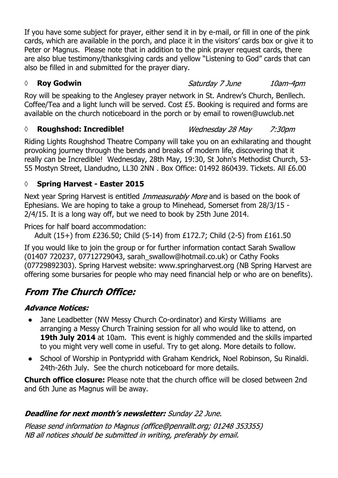If you have some subject for prayer, either send it in by e-mail, or fill in one of the pink cards, which are available in the porch, and place it in the visitors' cards box or give it to Peter or Magnus. Please note that in addition to the pink prayer request cards, there are also blue testimony/thanksgiving cards and yellow "Listening to God" cards that can also be filled in and submitted for the prayer diary.

#### *◊* **Roy Godwin**

Roy will be speaking to the Anglesey prayer network in St. Andrew's Church, Benllech. Coffee/Tea and a light lunch will be served. Cost £5. Booking is required and forms are available on the church noticeboard in the porch or by email to rowen@uwclub.net

#### *◊* **Roughshod: Incredible!**

Riding Lights Roughshod Theatre Company will take you on an exhilarating and thought provoking journey through the bends and breaks of modern life, discovering that it really can be Incredible! Wednesday, 28th May, 19:30, St John's Methodist Church, 53- 55 Mostyn Street, Llandudno, LL30 2NN . Box Office: 01492 860439. Tickets. All £6.00

## **◊ Spring Harvest - Easter 2015**

Next year Spring Harvest is entitled *Immeasurably More* and is based on the book of Ephesians. We are hoping to take a group to Minehead, Somerset from 28/3/15 - 2/4/15. It is a long way off, but we need to book by 25th June 2014.

Prices for half board accommodation:

Adult (15+) from £236.50; Child (5-14) from £172.7; Child (2-5) from £161.50

If you would like to join the group or for further information contact Sarah Swallow (01407 720237, 07712729043, sarah\_swallow@hotmail.co.uk) or Cathy Fooks (07729892303). Spring Harvest website: www.springharvest.org (NB Spring Harvest are offering some bursaries for people who may need financial help or who are on benefits).

# **From The Church Office:**

### **Advance Notices:**

- Jane Leadbetter (NW Messy Church Co-ordinator) and Kirsty Williams are arranging a Messy Church Training session for all who would like to attend, on **19th July 2014** at 10am. This event is highly commended and the skills imparted to you might very well come in useful. Try to get along. More details to follow.
- School of Worship in Pontypridd with Graham Kendrick, Noel Robinson, Su Rinaldi. 24th-26th July. See the church noticeboard for more details.

**Church office closure:** Please note that the church office will be closed between 2nd and 6th June as Magnus will be away.

## Deadline for next month's newsletter: Sunday 22 June.

Please send information to Magnus (office@penrallt.org; 01248 353355) NB all notices should be submitted in writing, preferably by email.

Saturday 7 June

Wednesday 28 May 7:30pm

10am-4pm